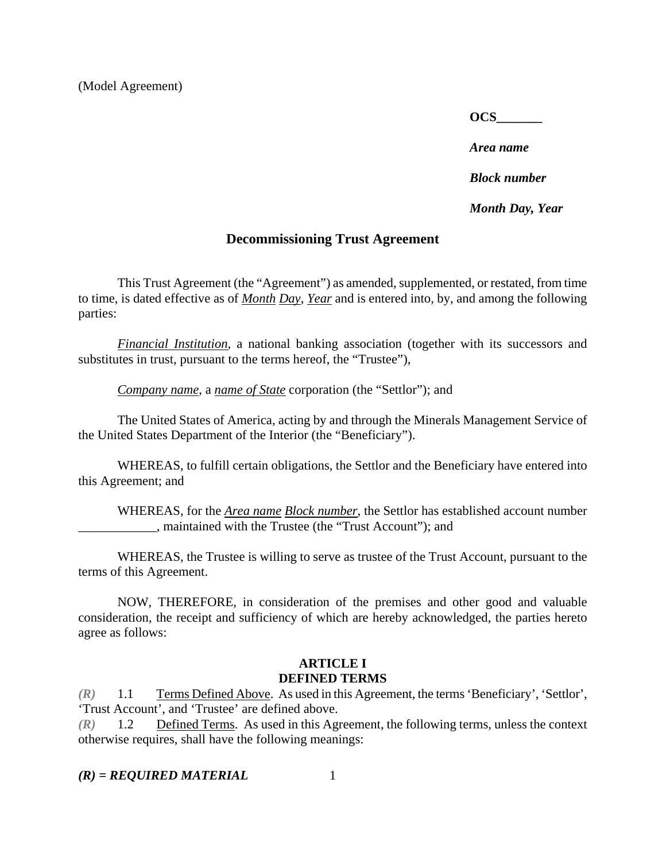**OCS\_\_\_\_\_\_\_** 

*Area name* 

*Block number* 

*Month Day, Year* 

#### **Decommissioning Trust Agreement**

This Trust Agreement (the "Agreement") as amended, supplemented, or restated, from time to time, is dated effective as of *Month Day*, *Year* and is entered into, by, and among the following parties:

*Financial Institution*, a national banking association (together with its successors and substitutes in trust, pursuant to the terms hereof, the "Trustee"),

*Company name*, a *name of State* corporation (the "Settlor"); and

The United States of America, acting by and through the Minerals Management Service of the United States Department of the Interior (the "Beneficiary").

WHEREAS, to fulfill certain obligations, the Settlor and the Beneficiary have entered into this Agreement; and

WHEREAS, for the *Area name Block number*, the Settlor has established account number \_\_\_\_\_\_\_\_\_\_\_\_, maintained with the Trustee (the "Trust Account"); and

WHEREAS, the Trustee is willing to serve as trustee of the Trust Account, pursuant to the terms of this Agreement.

NOW, THEREFORE, in consideration of the premises and other good and valuable consideration, the receipt and sufficiency of which are hereby acknowledged, the parties hereto agree as follows:

#### **ARTICLE I DEFINED TERMS**

*(R)* 1.1 Terms Defined Above. As used in this Agreement, the terms 'Beneficiary', 'Settlor', 'Trust Account', and 'Trustee' are defined above.

*(R)* 1.2 Defined Terms. As used in this Agreement, the following terms, unless the context otherwise requires, shall have the following meanings: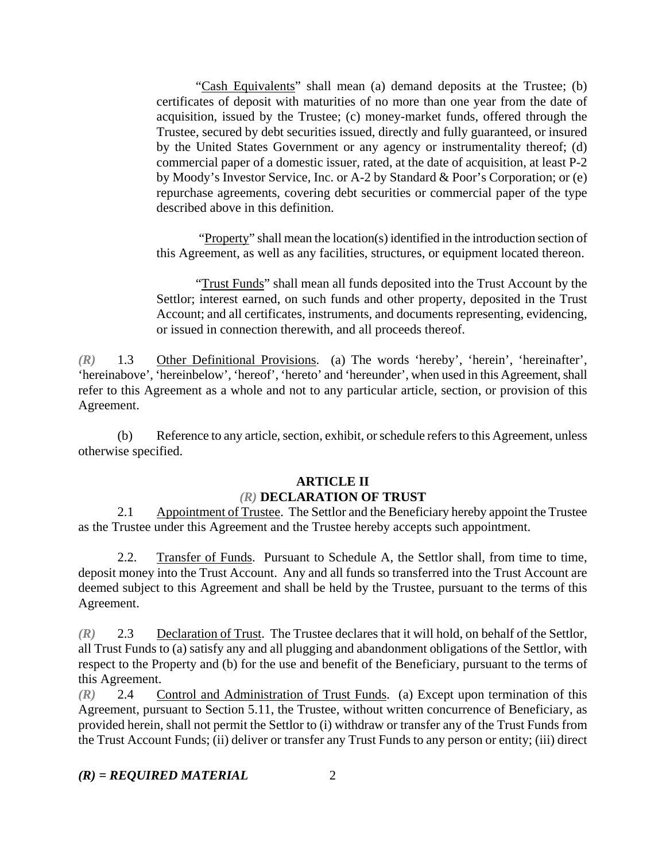"Cash Equivalents" shall mean (a) demand deposits at the Trustee; (b) certificates of deposit with maturities of no more than one year from the date of acquisition, issued by the Trustee; (c) money-market funds, offered through the Trustee, secured by debt securities issued, directly and fully guaranteed, or insured by the United States Government or any agency or instrumentality thereof; (d) commercial paper of a domestic issuer, rated, at the date of acquisition, at least P-2 by Moody's Investor Service, Inc. or A-2 by Standard & Poor's Corporation; or (e) repurchase agreements, covering debt securities or commercial paper of the type described above in this definition.

 "Property" shall mean the location(s) identified in the introduction section of this Agreement, as well as any facilities, structures, or equipment located thereon.

"Trust Funds" shall mean all funds deposited into the Trust Account by the Settlor; interest earned, on such funds and other property, deposited in the Trust Account; and all certificates, instruments, and documents representing, evidencing, or issued in connection therewith, and all proceeds thereof.

*(R)* 1.3 Other Definitional Provisions. (a) The words 'hereby', 'herein', 'hereinafter', 'hereinabove', 'hereinbelow', 'hereof', 'hereto' and 'hereunder', when used in this Agreement, shall refer to this Agreement as a whole and not to any particular article, section, or provision of this Agreement.

(b) Reference to any article, section, exhibit, or schedule refers to this Agreement, unless otherwise specified.

## **ARTICLE II**

## *(R)* **DECLARATION OF TRUST**

2.1 Appointment of Trustee. The Settlor and the Beneficiary hereby appoint the Trustee as the Trustee under this Agreement and the Trustee hereby accepts such appointment.

2.2. Transfer of Funds. Pursuant to Schedule A, the Settlor shall, from time to time, deposit money into the Trust Account. Any and all funds so transferred into the Trust Account are deemed subject to this Agreement and shall be held by the Trustee, pursuant to the terms of this Agreement.

*(R)* 2.3 Declaration of Trust. The Trustee declares that it will hold, on behalf of the Settlor, all Trust Funds to (a) satisfy any and all plugging and abandonment obligations of the Settlor, with respect to the Property and (b) for the use and benefit of the Beneficiary, pursuant to the terms of this Agreement.

*(R)* 2.4 Control and Administration of Trust Funds. (a) Except upon termination of this Agreement, pursuant to Section 5.11, the Trustee, without written concurrence of Beneficiary, as provided herein, shall not permit the Settlor to (i) withdraw or transfer any of the Trust Funds from the Trust Account Funds; (ii) deliver or transfer any Trust Funds to any person or entity; (iii) direct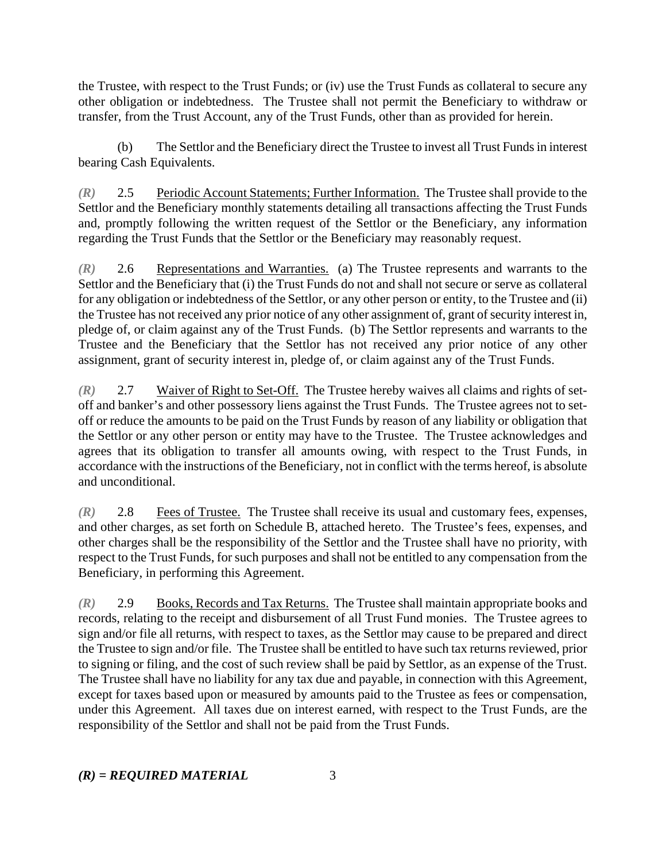the Trustee, with respect to the Trust Funds; or (iv) use the Trust Funds as collateral to secure any other obligation or indebtedness. The Trustee shall not permit the Beneficiary to withdraw or transfer, from the Trust Account, any of the Trust Funds, other than as provided for herein.

(b) The Settlor and the Beneficiary direct the Trustee to invest all Trust Funds in interest bearing Cash Equivalents.

*(R)* 2.5 Periodic Account Statements; Further Information. The Trustee shall provide to the Settlor and the Beneficiary monthly statements detailing all transactions affecting the Trust Funds and, promptly following the written request of the Settlor or the Beneficiary, any information regarding the Trust Funds that the Settlor or the Beneficiary may reasonably request.

*(R)* 2.6 Representations and Warranties. (a) The Trustee represents and warrants to the Settlor and the Beneficiary that (i) the Trust Funds do not and shall not secure or serve as collateral for any obligation or indebtedness of the Settlor, or any other person or entity, to the Trustee and (ii) the Trustee has not received any prior notice of any other assignment of, grant of security interest in, pledge of, or claim against any of the Trust Funds. (b) The Settlor represents and warrants to the Trustee and the Beneficiary that the Settlor has not received any prior notice of any other assignment, grant of security interest in, pledge of, or claim against any of the Trust Funds.

*(R)* 2.7 Waiver of Right to Set-Off. The Trustee hereby waives all claims and rights of setoff and banker's and other possessory liens against the Trust Funds. The Trustee agrees not to setoff or reduce the amounts to be paid on the Trust Funds by reason of any liability or obligation that the Settlor or any other person or entity may have to the Trustee. The Trustee acknowledges and agrees that its obligation to transfer all amounts owing, with respect to the Trust Funds, in accordance with the instructions of the Beneficiary, not in conflict with the terms hereof, is absolute and unconditional.

*(R)* 2.8 Fees of Trustee. The Trustee shall receive its usual and customary fees, expenses, and other charges, as set forth on Schedule B, attached hereto. The Trustee's fees, expenses, and other charges shall be the responsibility of the Settlor and the Trustee shall have no priority, with respect to the Trust Funds, for such purposes and shall not be entitled to any compensation from the Beneficiary, in performing this Agreement.

*(R)* 2.9 Books, Records and Tax Returns. The Trustee shall maintain appropriate books and records, relating to the receipt and disbursement of all Trust Fund monies. The Trustee agrees to sign and/or file all returns, with respect to taxes, as the Settlor may cause to be prepared and direct the Trustee to sign and/or file. The Trustee shall be entitled to have such tax returns reviewed, prior to signing or filing, and the cost of such review shall be paid by Settlor, as an expense of the Trust. The Trustee shall have no liability for any tax due and payable, in connection with this Agreement, except for taxes based upon or measured by amounts paid to the Trustee as fees or compensation, under this Agreement. All taxes due on interest earned, with respect to the Trust Funds, are the responsibility of the Settlor and shall not be paid from the Trust Funds.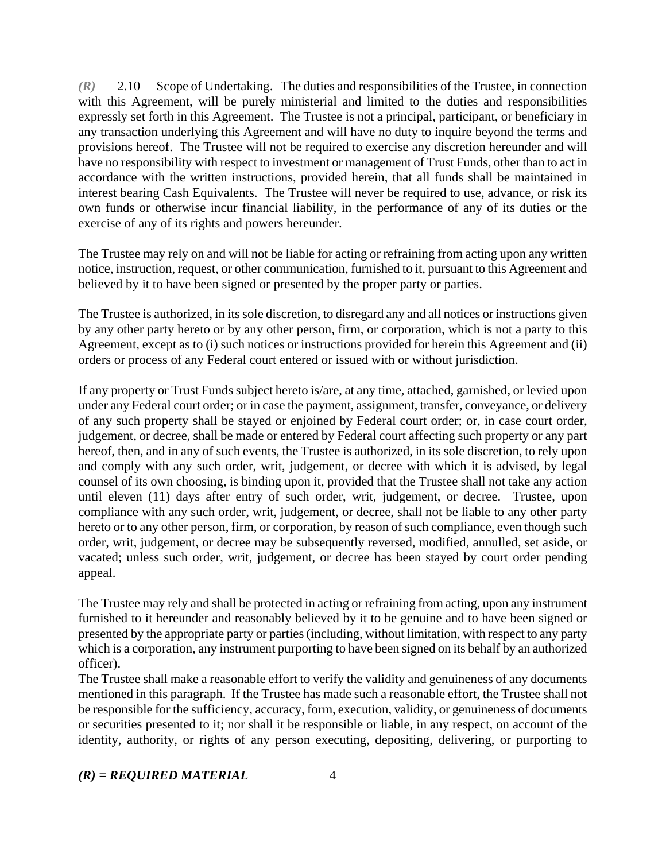*(R)* 2.10 Scope of Undertaking. The duties and responsibilities of the Trustee, in connection with this Agreement, will be purely ministerial and limited to the duties and responsibilities expressly set forth in this Agreement. The Trustee is not a principal, participant, or beneficiary in any transaction underlying this Agreement and will have no duty to inquire beyond the terms and provisions hereof. The Trustee will not be required to exercise any discretion hereunder and will have no responsibility with respect to investment or management of Trust Funds, other than to act in accordance with the written instructions, provided herein, that all funds shall be maintained in interest bearing Cash Equivalents. The Trustee will never be required to use, advance, or risk its own funds or otherwise incur financial liability, in the performance of any of its duties or the exercise of any of its rights and powers hereunder.

The Trustee may rely on and will not be liable for acting or refraining from acting upon any written notice, instruction, request, or other communication, furnished to it, pursuant to this Agreement and believed by it to have been signed or presented by the proper party or parties.

The Trustee is authorized, in its sole discretion, to disregard any and all notices or instructions given by any other party hereto or by any other person, firm, or corporation, which is not a party to this Agreement, except as to (i) such notices or instructions provided for herein this Agreement and (ii) orders or process of any Federal court entered or issued with or without jurisdiction.

If any property or Trust Funds subject hereto is/are, at any time, attached, garnished, or levied upon under any Federal court order; or in case the payment, assignment, transfer, conveyance, or delivery of any such property shall be stayed or enjoined by Federal court order; or, in case court order, judgement, or decree, shall be made or entered by Federal court affecting such property or any part hereof, then, and in any of such events, the Trustee is authorized, in its sole discretion, to rely upon and comply with any such order, writ, judgement, or decree with which it is advised, by legal counsel of its own choosing, is binding upon it, provided that the Trustee shall not take any action until eleven (11) days after entry of such order, writ, judgement, or decree. Trustee, upon compliance with any such order, writ, judgement, or decree, shall not be liable to any other party hereto or to any other person, firm, or corporation, by reason of such compliance, even though such order, writ, judgement, or decree may be subsequently reversed, modified, annulled, set aside, or vacated; unless such order, writ, judgement, or decree has been stayed by court order pending appeal.

The Trustee may rely and shall be protected in acting or refraining from acting, upon any instrument furnished to it hereunder and reasonably believed by it to be genuine and to have been signed or presented by the appropriate party or parties (including, without limitation, with respect to any party which is a corporation, any instrument purporting to have been signed on its behalf by an authorized officer).

The Trustee shall make a reasonable effort to verify the validity and genuineness of any documents mentioned in this paragraph. If the Trustee has made such a reasonable effort, the Trustee shall not be responsible for the sufficiency, accuracy, form, execution, validity, or genuineness of documents or securities presented to it; nor shall it be responsible or liable, in any respect, on account of the identity, authority, or rights of any person executing, depositing, delivering, or purporting to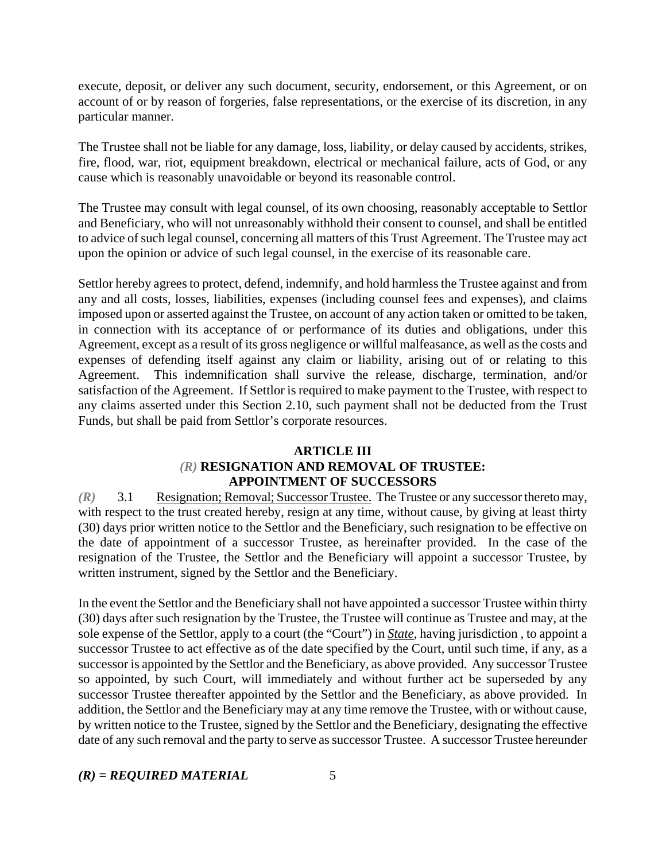execute, deposit, or deliver any such document, security, endorsement, or this Agreement, or on account of or by reason of forgeries, false representations, or the exercise of its discretion, in any particular manner.

The Trustee shall not be liable for any damage, loss, liability, or delay caused by accidents, strikes, fire, flood, war, riot, equipment breakdown, electrical or mechanical failure, acts of God, or any cause which is reasonably unavoidable or beyond its reasonable control.

The Trustee may consult with legal counsel, of its own choosing, reasonably acceptable to Settlor and Beneficiary, who will not unreasonably withhold their consent to counsel, and shall be entitled to advice of such legal counsel, concerning all matters of this Trust Agreement. The Trustee may act upon the opinion or advice of such legal counsel, in the exercise of its reasonable care.

Settlor hereby agrees to protect, defend, indemnify, and hold harmless the Trustee against and from any and all costs, losses, liabilities, expenses (including counsel fees and expenses), and claims imposed upon or asserted against the Trustee, on account of any action taken or omitted to be taken, in connection with its acceptance of or performance of its duties and obligations, under this Agreement, except as a result of its gross negligence or willful malfeasance, as well as the costs and expenses of defending itself against any claim or liability, arising out of or relating to this Agreement. This indemnification shall survive the release, discharge, termination, and/or satisfaction of the Agreement. If Settlor is required to make payment to the Trustee, with respect to any claims asserted under this Section 2.10, such payment shall not be deducted from the Trust Funds, but shall be paid from Settlor's corporate resources.

### **ARTICLE III**  *(R)* **RESIGNATION AND REMOVAL OF TRUSTEE: APPOINTMENT OF SUCCESSORS**

*(R)* 3.1 Resignation; Removal; Successor Trustee. The Trustee or any successor thereto may, with respect to the trust created hereby, resign at any time, without cause, by giving at least thirty (30) days prior written notice to the Settlor and the Beneficiary, such resignation to be effective on the date of appointment of a successor Trustee, as hereinafter provided. In the case of the resignation of the Trustee, the Settlor and the Beneficiary will appoint a successor Trustee, by written instrument, signed by the Settlor and the Beneficiary.

In the event the Settlor and the Beneficiary shall not have appointed a successor Trustee within thirty (30) days after such resignation by the Trustee, the Trustee will continue as Trustee and may, at the sole expense of the Settlor, apply to a court (the "Court") in *State*, having jurisdiction , to appoint a successor Trustee to act effective as of the date specified by the Court, until such time, if any, as a successor is appointed by the Settlor and the Beneficiary, as above provided. Any successor Trustee so appointed, by such Court, will immediately and without further act be superseded by any successor Trustee thereafter appointed by the Settlor and the Beneficiary, as above provided. In addition, the Settlor and the Beneficiary may at any time remove the Trustee, with or without cause, by written notice to the Trustee, signed by the Settlor and the Beneficiary, designating the effective date of any such removal and the party to serve as successor Trustee. A successor Trustee hereunder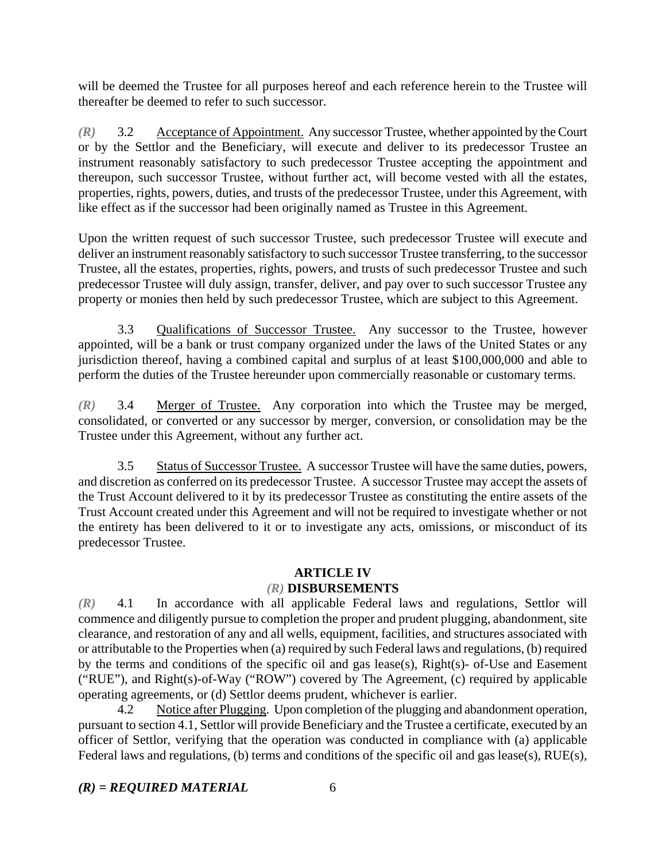will be deemed the Trustee for all purposes hereof and each reference herein to the Trustee will thereafter be deemed to refer to such successor.

*(R)* 3.2 Acceptance of Appointment. Any successor Trustee, whether appointed by the Court or by the Settlor and the Beneficiary, will execute and deliver to its predecessor Trustee an instrument reasonably satisfactory to such predecessor Trustee accepting the appointment and thereupon, such successor Trustee, without further act, will become vested with all the estates, properties, rights, powers, duties, and trusts of the predecessor Trustee, under this Agreement, with like effect as if the successor had been originally named as Trustee in this Agreement.

Upon the written request of such successor Trustee, such predecessor Trustee will execute and deliver an instrument reasonably satisfactory to such successor Trustee transferring, to the successor Trustee, all the estates, properties, rights, powers, and trusts of such predecessor Trustee and such predecessor Trustee will duly assign, transfer, deliver, and pay over to such successor Trustee any property or monies then held by such predecessor Trustee, which are subject to this Agreement.

3.3 Qualifications of Successor Trustee. Any successor to the Trustee, however appointed, will be a bank or trust company organized under the laws of the United States or any jurisdiction thereof, having a combined capital and surplus of at least \$100,000,000 and able to perform the duties of the Trustee hereunder upon commercially reasonable or customary terms.

*(R)* 3.4 Merger of Trustee. Any corporation into which the Trustee may be merged, consolidated, or converted or any successor by merger, conversion, or consolidation may be the Trustee under this Agreement, without any further act.

3.5 Status of Successor Trustee. A successor Trustee will have the same duties, powers, and discretion as conferred on its predecessor Trustee. A successor Trustee may accept the assets of the Trust Account delivered to it by its predecessor Trustee as constituting the entire assets of the Trust Account created under this Agreement and will not be required to investigate whether or not the entirety has been delivered to it or to investigate any acts, omissions, or misconduct of its predecessor Trustee.

#### **ARTICLE IV**

#### *(R)* **DISBURSEMENTS**

*(R)* 4.1 In accordance with all applicable Federal laws and regulations, Settlor will commence and diligently pursue to completion the proper and prudent plugging, abandonment, site clearance, and restoration of any and all wells, equipment, facilities, and structures associated with or attributable to the Properties when (a) required by such Federal laws and regulations, (b) required by the terms and conditions of the specific oil and gas lease(s), Right(s)- of-Use and Easement ("RUE"), and Right(s)-of-Way ("ROW") covered by The Agreement, (c) required by applicable operating agreements, or (d) Settlor deems prudent, whichever is earlier.

4.2 Notice after Plugging. Upon completion of the plugging and abandonment operation, pursuant to section 4.1, Settlor will provide Beneficiary and the Trustee a certificate, executed by an officer of Settlor, verifying that the operation was conducted in compliance with (a) applicable Federal laws and regulations, (b) terms and conditions of the specific oil and gas lease(s), RUE(s),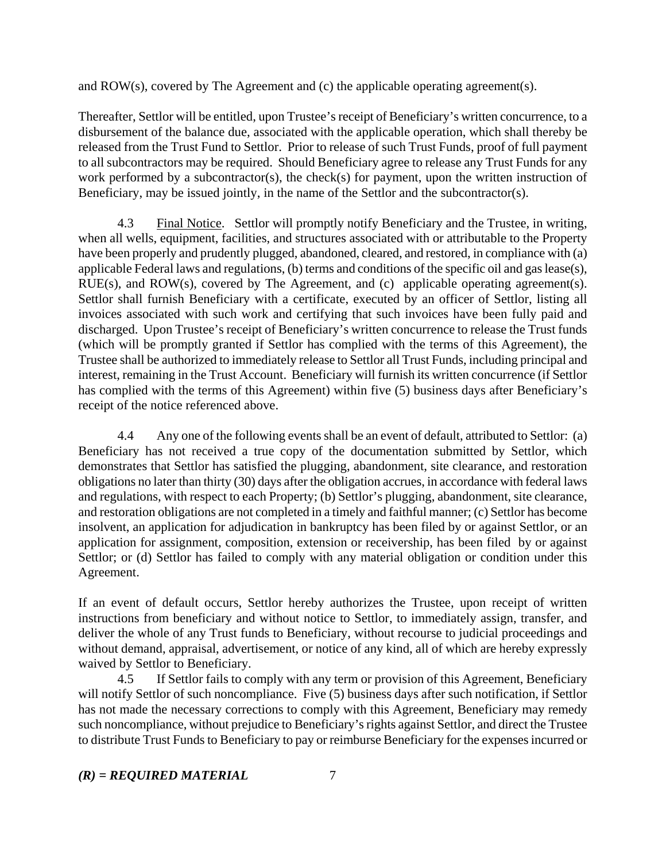and ROW(s), covered by The Agreement and (c) the applicable operating agreement(s).

Thereafter, Settlor will be entitled, upon Trustee's receipt of Beneficiary's written concurrence, to a disbursement of the balance due, associated with the applicable operation, which shall thereby be released from the Trust Fund to Settlor. Prior to release of such Trust Funds, proof of full payment to all subcontractors may be required. Should Beneficiary agree to release any Trust Funds for any work performed by a subcontractor(s), the check(s) for payment, upon the written instruction of Beneficiary, may be issued jointly, in the name of the Settlor and the subcontractor(s).

4.3 Final Notice. Settlor will promptly notify Beneficiary and the Trustee, in writing, when all wells, equipment, facilities, and structures associated with or attributable to the Property have been properly and prudently plugged, abandoned, cleared, and restored, in compliance with (a) applicable Federal laws and regulations, (b) terms and conditions of the specific oil and gas lease(s), RUE(s), and ROW(s), covered by The Agreement, and (c) applicable operating agreement(s). Settlor shall furnish Beneficiary with a certificate, executed by an officer of Settlor, listing all invoices associated with such work and certifying that such invoices have been fully paid and discharged. Upon Trustee's receipt of Beneficiary's written concurrence to release the Trust funds (which will be promptly granted if Settlor has complied with the terms of this Agreement), the Trustee shall be authorized to immediately release to Settlor all Trust Funds, including principal and interest, remaining in the Trust Account. Beneficiary will furnish its written concurrence (if Settlor has complied with the terms of this Agreement) within five (5) business days after Beneficiary's receipt of the notice referenced above.

4.4 Any one of the following events shall be an event of default, attributed to Settlor: (a) Beneficiary has not received a true copy of the documentation submitted by Settlor, which demonstrates that Settlor has satisfied the plugging, abandonment, site clearance, and restoration obligations no later than thirty (30) days after the obligation accrues, in accordance with federal laws and regulations, with respect to each Property; (b) Settlor's plugging, abandonment, site clearance, and restoration obligations are not completed in a timely and faithful manner; (c) Settlor has become insolvent, an application for adjudication in bankruptcy has been filed by or against Settlor, or an application for assignment, composition, extension or receivership, has been filed by or against Settlor; or (d) Settlor has failed to comply with any material obligation or condition under this Agreement.

If an event of default occurs, Settlor hereby authorizes the Trustee, upon receipt of written instructions from beneficiary and without notice to Settlor, to immediately assign, transfer, and deliver the whole of any Trust funds to Beneficiary, without recourse to judicial proceedings and without demand, appraisal, advertisement, or notice of any kind, all of which are hereby expressly waived by Settlor to Beneficiary.

4.5 If Settlor fails to comply with any term or provision of this Agreement, Beneficiary will notify Settlor of such noncompliance. Five (5) business days after such notification, if Settlor has not made the necessary corrections to comply with this Agreement, Beneficiary may remedy such noncompliance, without prejudice to Beneficiary's rights against Settlor, and direct the Trustee to distribute Trust Funds to Beneficiary to pay or reimburse Beneficiary for the expenses incurred or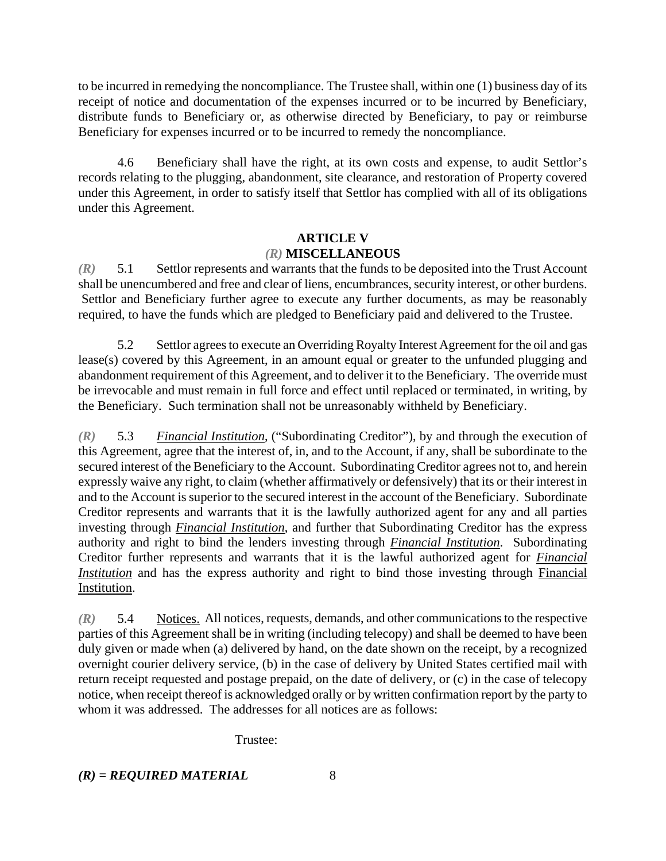to be incurred in remedying the noncompliance. The Trustee shall, within one (1) business day of its receipt of notice and documentation of the expenses incurred or to be incurred by Beneficiary, distribute funds to Beneficiary or, as otherwise directed by Beneficiary, to pay or reimburse Beneficiary for expenses incurred or to be incurred to remedy the noncompliance.

4.6 Beneficiary shall have the right, at its own costs and expense, to audit Settlor's records relating to the plugging, abandonment, site clearance, and restoration of Property covered under this Agreement, in order to satisfy itself that Settlor has complied with all of its obligations under this Agreement.

### **ARTICLE V**  *(R)* **MISCELLANEOUS**

*(R)* 5.1 Settlor represents and warrants that the funds to be deposited into the Trust Account shall be unencumbered and free and clear of liens, encumbrances, security interest, or other burdens. Settlor and Beneficiary further agree to execute any further documents, as may be reasonably required, to have the funds which are pledged to Beneficiary paid and delivered to the Trustee.

5.2 Settlor agrees to execute an Overriding Royalty Interest Agreement for the oil and gas lease(s) covered by this Agreement, in an amount equal or greater to the unfunded plugging and abandonment requirement of this Agreement, and to deliver it to the Beneficiary. The override must be irrevocable and must remain in full force and effect until replaced or terminated, in writing, by the Beneficiary. Such termination shall not be unreasonably withheld by Beneficiary.

*(R)* 5.3 *Financial Institution*, ("Subordinating Creditor"), by and through the execution of this Agreement, agree that the interest of, in, and to the Account, if any, shall be subordinate to the secured interest of the Beneficiary to the Account. Subordinating Creditor agrees not to, and herein expressly waive any right, to claim (whether affirmatively or defensively) that its or their interest in and to the Account is superior to the secured interest in the account of the Beneficiary. Subordinate Creditor represents and warrants that it is the lawfully authorized agent for any and all parties investing through *Financial Institution*, and further that Subordinating Creditor has the express authority and right to bind the lenders investing through *Financial Institution*. Subordinating Creditor further represents and warrants that it is the lawful authorized agent for *Financial Institution* and has the express authority and right to bind those investing through Financial Institution.

*(R)* 5.4 Notices. All notices, requests, demands, and other communications to the respective parties of this Agreement shall be in writing (including telecopy) and shall be deemed to have been duly given or made when (a) delivered by hand, on the date shown on the receipt, by a recognized overnight courier delivery service, (b) in the case of delivery by United States certified mail with return receipt requested and postage prepaid, on the date of delivery, or (c) in the case of telecopy notice, when receipt thereof is acknowledged orally or by written confirmation report by the party to whom it was addressed. The addresses for all notices are as follows:

Trustee: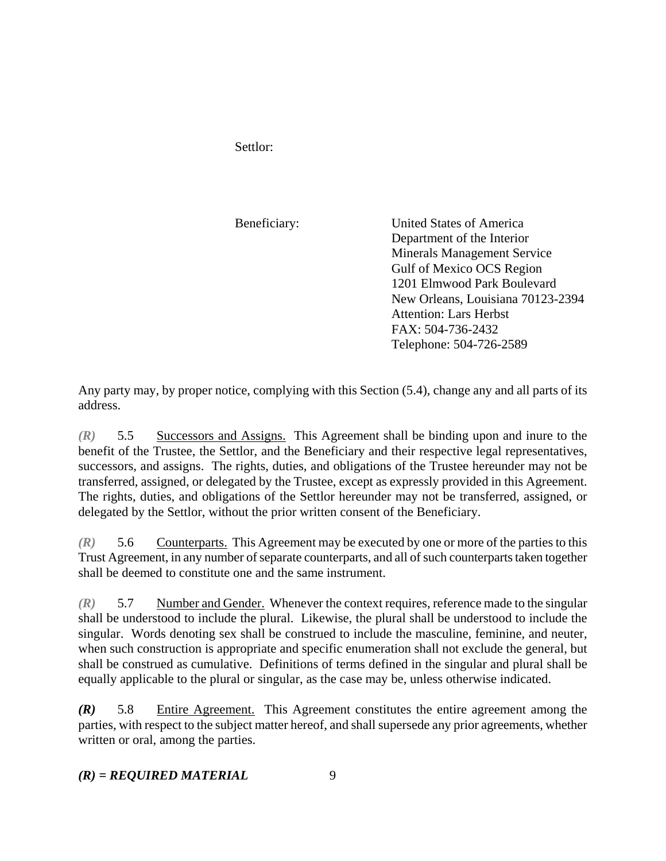Settlor:

Beneficiary: United States of America Department of the Interior Minerals Management Service Gulf of Mexico OCS Region 1201 Elmwood Park Boulevard New Orleans, Louisiana 70123-2394 Attention: Lars Herbst FAX: 504-736-2432 Telephone: 504-726-2589

Any party may, by proper notice, complying with this Section (5.4), change any and all parts of its address.

*(R)* 5.5 Successors and Assigns. This Agreement shall be binding upon and inure to the benefit of the Trustee, the Settlor, and the Beneficiary and their respective legal representatives, successors, and assigns. The rights, duties, and obligations of the Trustee hereunder may not be transferred, assigned, or delegated by the Trustee, except as expressly provided in this Agreement. The rights, duties, and obligations of the Settlor hereunder may not be transferred, assigned, or delegated by the Settlor, without the prior written consent of the Beneficiary.

*(R)* 5.6 Counterparts. This Agreement may be executed by one or more of the parties to this Trust Agreement, in any number of separate counterparts, and all of such counterparts taken together shall be deemed to constitute one and the same instrument.

*(R)* 5.7 Number and Gender. Whenever the context requires, reference made to the singular shall be understood to include the plural. Likewise, the plural shall be understood to include the singular. Words denoting sex shall be construed to include the masculine, feminine, and neuter, when such construction is appropriate and specific enumeration shall not exclude the general, but shall be construed as cumulative. Definitions of terms defined in the singular and plural shall be equally applicable to the plural or singular, as the case may be, unless otherwise indicated.

*(R)* 5.8 Entire Agreement. This Agreement constitutes the entire agreement among the parties, with respect to the subject matter hereof, and shall supersede any prior agreements, whether written or oral, among the parties.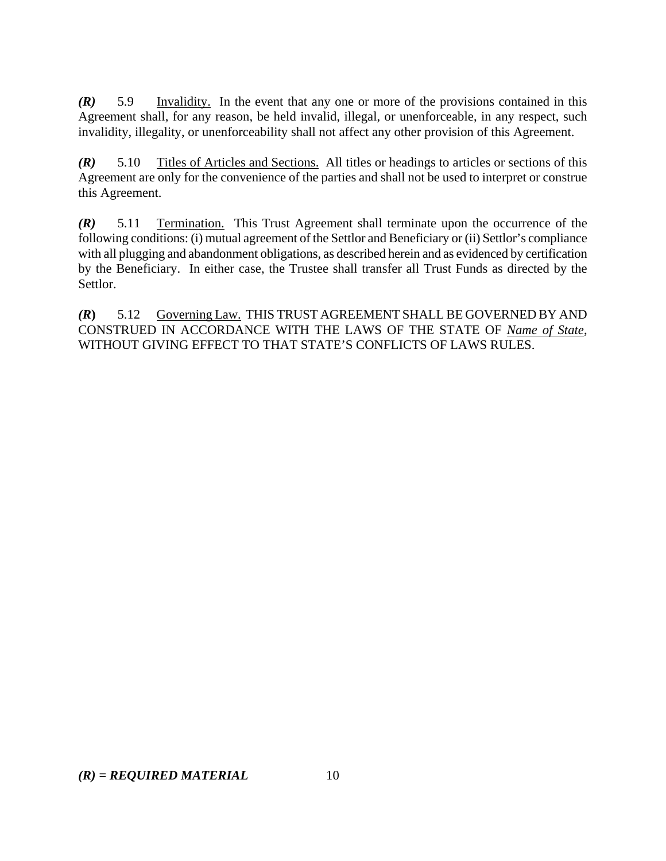*(R)* 5.9 Invalidity. In the event that any one or more of the provisions contained in this Agreement shall, for any reason, be held invalid, illegal, or unenforceable, in any respect, such invalidity, illegality, or unenforceability shall not affect any other provision of this Agreement.

*(R)* 5.10 Titles of Articles and Sections. All titles or headings to articles or sections of this Agreement are only for the convenience of the parties and shall not be used to interpret or construe this Agreement.

*(R)* 5.11 Termination. This Trust Agreement shall terminate upon the occurrence of the following conditions: (i) mutual agreement of the Settlor and Beneficiary or (ii) Settlor's compliance with all plugging and abandonment obligations, as described herein and as evidenced by certification by the Beneficiary. In either case, the Trustee shall transfer all Trust Funds as directed by the Settlor.

*(R***)** 5.12 Governing Law. THIS TRUST AGREEMENT SHALL BE GOVERNED BY AND CONSTRUED IN ACCORDANCE WITH THE LAWS OF THE STATE OF *Name of State*, WITHOUT GIVING EFFECT TO THAT STATE'S CONFLICTS OF LAWS RULES.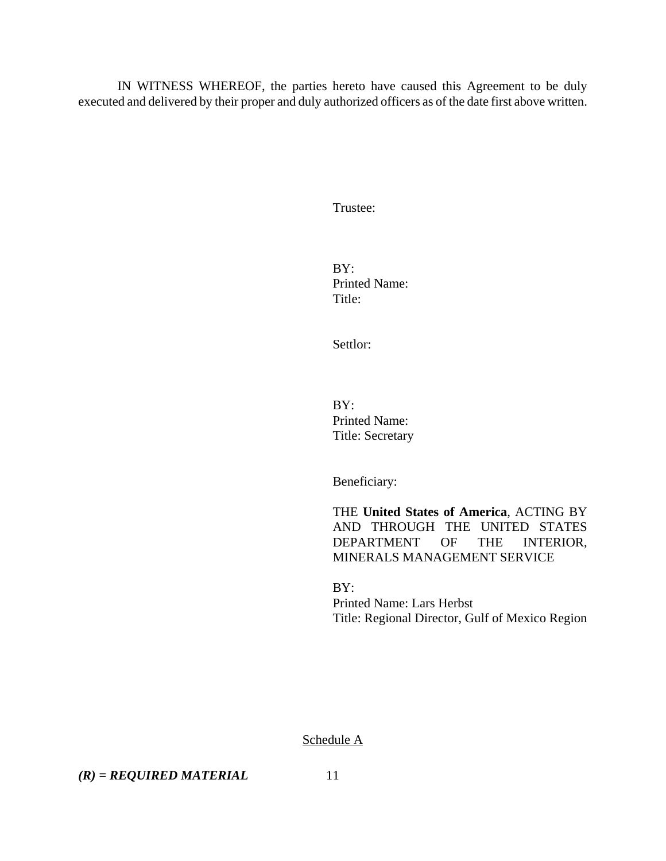IN WITNESS WHEREOF, the parties hereto have caused this Agreement to be duly executed and delivered by their proper and duly authorized officers as of the date first above written.

Trustee:

BY: Printed Name: Title:

Settlor:

 $BY:$ Printed Name: Title: Secretary

Beneficiary:

THE **United States of America**, ACTING BY AND THROUGH THE UNITED STATES DEPARTMENT OF THE INTERIOR, MINERALS MANAGEMENT SERVICE

BY: Printed Name: Lars Herbst Title: Regional Director, Gulf of Mexico Region

Schedule A